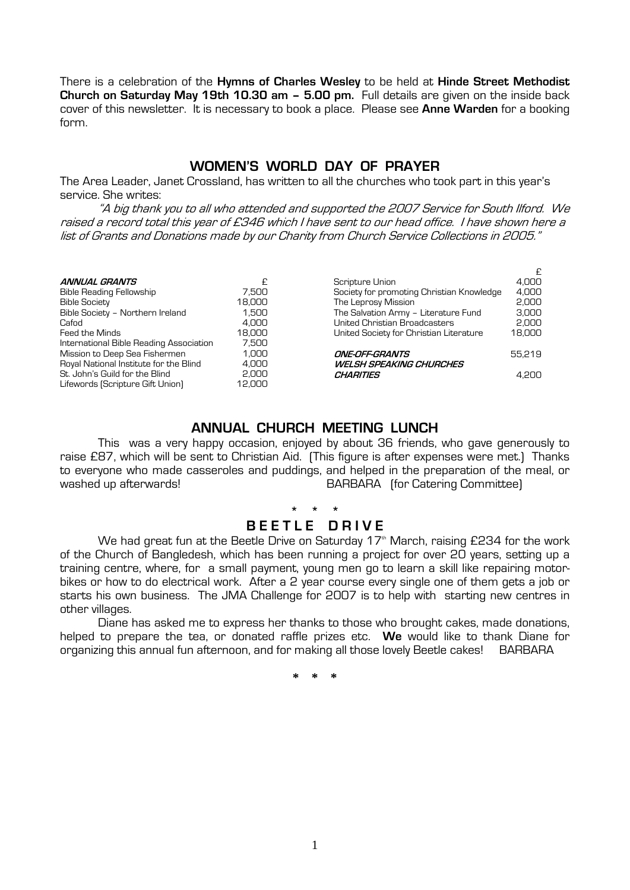There is a celebration of the **Hymns of Charles Wesley** to be held at **Hinde Street Methodist Church on Saturday May 19th 10.30 am – 5.00 pm.** Full details are given on the inside back cover of this newsletter. It is necessary to book a place. Please see **Anne Warden** for a booking form.

#### **WOMEN'S WORLD DAY OF PRAYER**

The Area Leader, Janet Crossland, has written to all the churches who took part in this year's service. She writes:

 "A big thank you to all who attended and supported the 2007 Service for South Ilford. We raised a record total this year of £346 which I have sent to our head office. I have shown here a list of Grants and Donations made by our Charity from Church Service Collections in 2005."

|                                         |        |                                           | £      |
|-----------------------------------------|--------|-------------------------------------------|--------|
| <b>ANNUAL GRANTS</b>                    |        | Scripture Union                           | 4.000  |
| <b>Bible Reading Fellowship</b>         | 7.500  | Society for promoting Christian Knowledge | 4.000  |
| <b>Bible Society</b>                    | 18,000 | The Leprosy Mission                       | 2.000  |
| Bible Society - Northern Ireland        | 1.500  | The Salvation Army - Literature Fund      | 3.000  |
| Cafod                                   | 4.000  | United Christian Broadcasters             | 2.000  |
| Feed the Minds                          | 18.000 | United Society for Christian Literature   | 18,000 |
| International Bible Reading Association | 7.500  |                                           |        |
| Mission to Deep Sea Fishermen           | 1.000  | <i><b>ONE-OFF-GRANTS</b></i>              | 55.219 |
| Royal National Institute for the Blind  | 4.000  | WELSH SPEAKING CHURCHES                   |        |
| St. John's Guild for the Blind          | 2,000  | CHARITIES                                 | 4.200  |
| Lifewords (Scripture Gift Union)        | 12.000 |                                           |        |

#### **ANNUAL CHURCH MEETING LUNCH**

 This was a very happy occasion, enjoyed by about 36 friends, who gave generously to raise £87, which will be sent to Christian Aid. (This figure is after expenses were met.) Thanks to everyone who made casseroles and puddings, and helped in the preparation of the meal, or washed up afterwards! BARBARA (for Catering Committee)

#### **\* \* \* BEETLE DRIVE**

We had great fun at the Beetle Drive on Saturday  $17<sup>th</sup>$  March, raising £234 for the work of the Church of Bangledesh, which has been running a project for over 20 years, setting up a training centre, where, for a small payment, young men go to learn a skill like repairing motorbikes or how to do electrical work. After a 2 year course every single one of them gets a job or starts his own business. The JMA Challenge for 2007 is to help with starting new centres in other villages.

 Diane has asked me to express her thanks to those who brought cakes, made donations, helped to prepare the tea, or donated raffle prizes etc. **We** would like to thank Diane for organizing this annual fun afternoon, and for making all those lovely Beetle cakes! BARBARA

**\* \* \***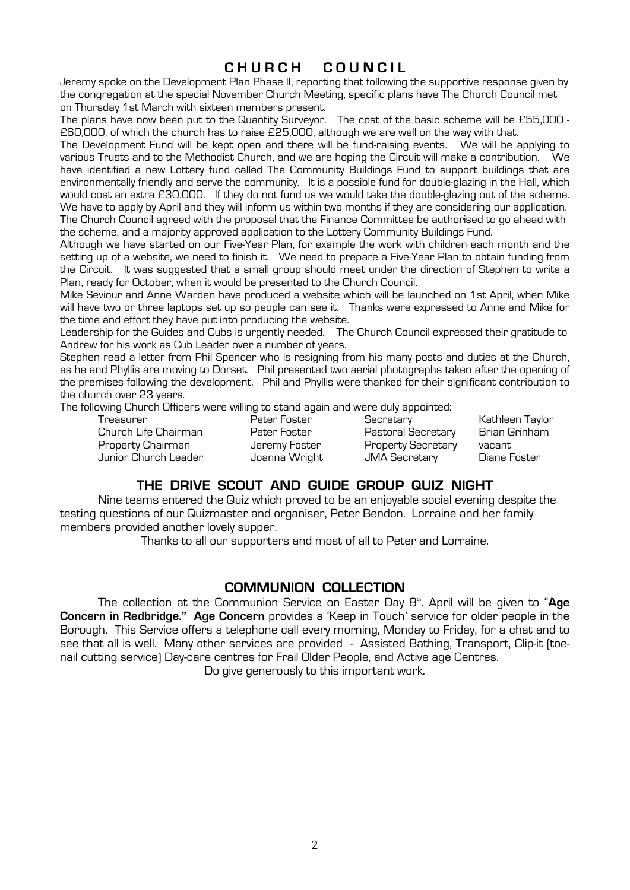### **C H U R C H C O U N C I L**

Jeremy spoke on the Development Plan Phase II, reporting that following the supportive response given by the congregation at the special November Church Meeting, specific plans have The Church Council met on Thursday 1st March with sixteen members present.

The plans have now been put to the Quantity Surveyor. The cost of the basic scheme will be £55,000 - £60,000, of which the church has to raise £25,000, although we are well on the way with that.

The Development Fund will be kept open and there will be fund-raising events. We will be applying to various Trusts and to the Methodist Church, and we are hoping the Circuit will make a contribution. We have identified a new Lottery fund called The Community Buildings Fund to support buildings that are environmentally friendly and serve the community. It is a possible fund for double-glazing in the Hall, which would cost an extra £30,000. If they do not fund us we would take the double-glazing out of the scheme. We have to apply by April and they will inform us within two months if they are considering our application. The Church Council agreed with the proposal that the Finance Committee be authorised to go ahead with the scheme, and a majority approved application to the Lottery Community Buildings Fund.

Although we have started on our Five-Year Plan, for example the work with children each month and the setting up of a website, we need to finish it. We need to prepare a Five-Year Plan to obtain funding from the Circuit. It was suggested that a small group should meet under the direction of Stephen to write a Plan, ready for October, when it would be presented to the Church Council.

Mike Seviour and Anne Warden have produced a website which will be launched on 1st April, when Mike will have two or three laptops set up so people can see it. Thanks were expressed to Anne and Mike for the time and effort they have put into producing the website.

Leadership for the Guides and Cubs is urgently needed. The Church Council expressed their gratitude to Andrew for his work as Cub Leader over a number of years.

Stephen read a letter from Phil Spencer who is resigning from his many posts and duties at the Church, as he and Phyllis are moving to Dorset. Phil presented two aerial photographs taken after the opening of the premises following the development. Phil and Phyllis were thanked for their significant contribution to the church over 23 years.

The following Church Officers were willing to stand again and were duly appointed:

 Treasurer Peter Foster Secretary Kathleen Taylor Church Life Chairman Peter Foster Pastoral Secretary<br>Property Chairman Property Secretary Property Chairman **Interpreter Secretary Chairman** Jeremy Foster Property Secretary vacant

Junior Church Leader Joanna Wright JMA Secretary Diane Foster

### **THE DRIVE SCOUT AND GUIDE GROUP QUIZ NIGHT**

 Nine teams entered the Quiz which proved to be an enjoyable social evening despite the testing questions of our Quizmaster and organiser, Peter Bendon. Lorraine and her family members provided another lovely supper.

Thanks to all our supporters and most of all to Peter and Lorraine.

#### **COMMUNION COLLECTION**

The collection at the Communion Service on Easter Day 8<sup>th</sup>. April will be given to "Age **Concern in Redbridge." Age Concern** provides a 'Keep in Touch' service for older people in the Borough. This Service offers a telephone call every morning, Monday to Friday, for a chat and to see that all is well. Many other services are provided - Assisted Bathing, Transport, Clip-it (toenail cutting service) Day-care centres for Frail Older People, and Active age Centres.

Do give generously to this important work.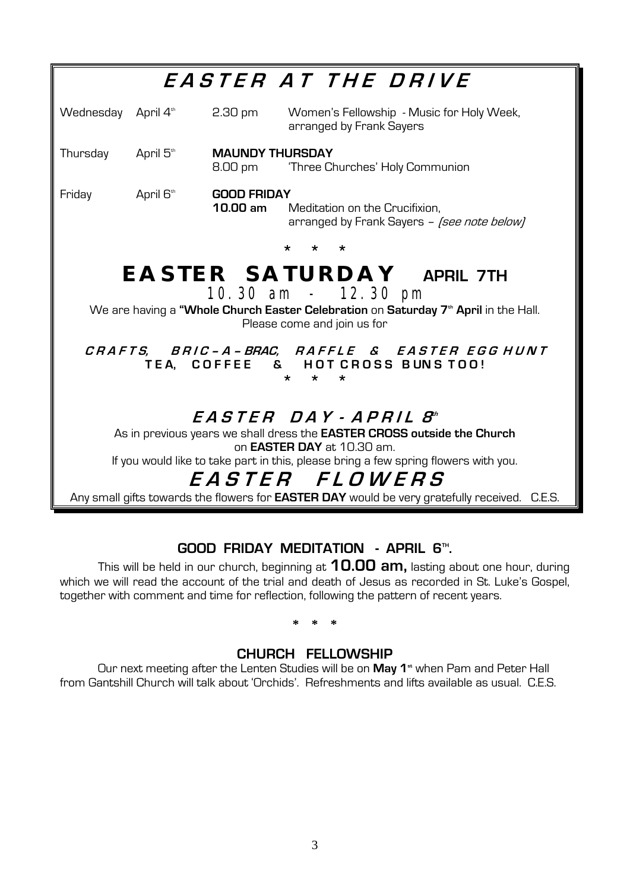# **GOOD FRIDAY MEDITATION - APRIL 6TH .**

This will be held in our church, beginning at **10.00 am,** lasting about one hour, during which we will read the account of the trial and death of Jesus as recorded in St. Luke's Gospel, together with comment and time for reflection, following the pattern of recent years.

**\* \* \*** 

### **CHURCH FELLOWSHIP**

Our next meeting after the Lenten Studies will be on May 1<sup>st</sup> when Pam and Peter Hall from Gantshill Church will talk about 'Orchids'. Refreshments and lifts available as usual. C.E.S.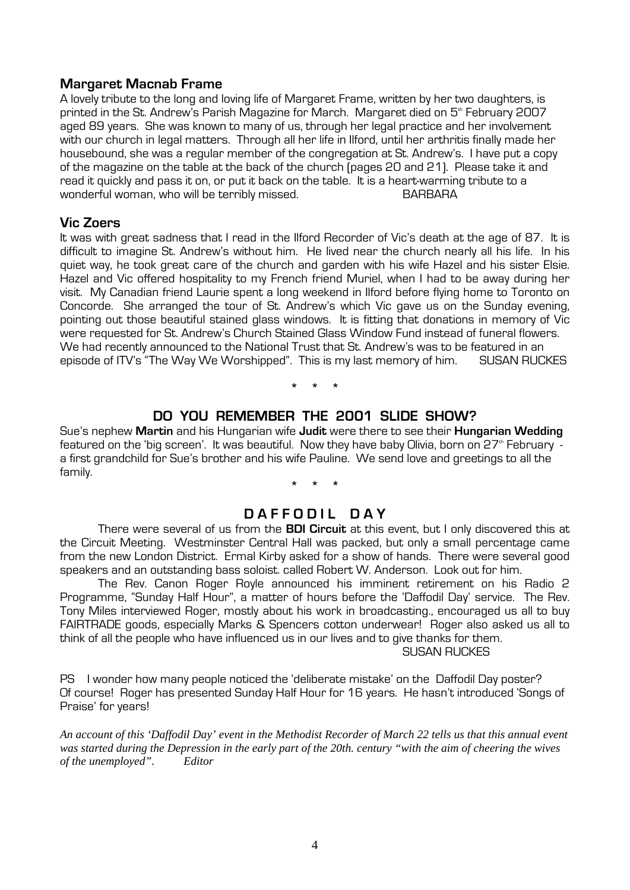#### **Margaret Macnab Frame**

A lovely tribute to the long and loving life of Margaret Frame, written by her two daughters, is printed in the St. Andrew's Parish Magazine for March. Margaret died on 5<sup>th</sup> February 2007 aged 89 years. She was known to many of us, through her legal practice and her involvement with our church in legal matters. Through all her life in Ilford, until her arthritis finally made her housebound, she was a regular member of the congregation at St. Andrew's. I have put a copy of the magazine on the table at the back of the church (pages 20 and 21). Please take it and read it quickly and pass it on, or put it back on the table. It is a heart-warming tribute to a wonderful woman, who will be terribly missed. **BARBARA** 

#### **Vic Zoers**

It was with great sadness that I read in the Ilford Recorder of Vic's death at the age of 87. It is difficult to imagine St. Andrew's without him. He lived near the church nearly all his life. In his quiet way, he took great care of the church and garden with his wife Hazel and his sister Elsie. Hazel and Vic offered hospitality to my French friend Muriel, when I had to be away during her visit. My Canadian friend Laurie spent a long weekend in Ilford before flying home to Toronto on Concorde. She arranged the tour of St. Andrew's which Vic gave us on the Sunday evening, pointing out those beautiful stained glass windows. It is fitting that donations in memory of Vic were requested for St. Andrew's Church Stained Glass Window Fund instead of funeral flowers. We had recently announced to the National Trust that St. Andrew's was to be featured in an episode of ITV's "The Way We Worshipped". This is my last memory of him. SUSAN RUCKES

**\* \* \*** 

#### **DO YOU REMEMBER THE 2001 SLIDE SHOW?**

Sue's nephew **Martin** and his Hungarian wife **Judit** were there to see their **Hungarian Wedding**  featured on the 'big screen'. It was beautiful. Now they have baby Olivia, born on 27<sup>th</sup> February a first grandchild for Sue's brother and his wife Pauline. We send love and greetings to all the family.

**\* \* \*** 

#### **D A F F O D I L D A Y**

 There were several of us from the **BDI Circuit** at this event, but I only discovered this at the Circuit Meeting. Westminster Central Hall was packed, but only a small percentage came from the new London District. Ermal Kirby asked for a show of hands. There were several good speakers and an outstanding bass soloist. called Robert W. Anderson. Look out for him.

 The Rev. Canon Roger Royle announced his imminent retirement on his Radio 2 Programme, "Sunday Half Hour", a matter of hours before the 'Daffodil Day' service. The Rev. Tony Miles interviewed Roger, mostly about his work in broadcasting., encouraged us all to buy FAIRTRADE goods, especially Marks & Spencers cotton underwear! Roger also asked us all to think of all the people who have influenced us in our lives and to give thanks for them.

SUSAN RUCKES

PS I wonder how many people noticed the 'deliberate mistake' on the Daffodil Dav poster? Of course! Roger has presented Sunday Half Hour for 16 years. He hasn't introduced 'Songs of Praise' for years!

*An account of this 'Daffodil Day' event in the Methodist Recorder of March 22 tells us that this annual event was started during the Depression in the early part of the 20th. century "with the aim of cheering the wives of the unemployed". Editor*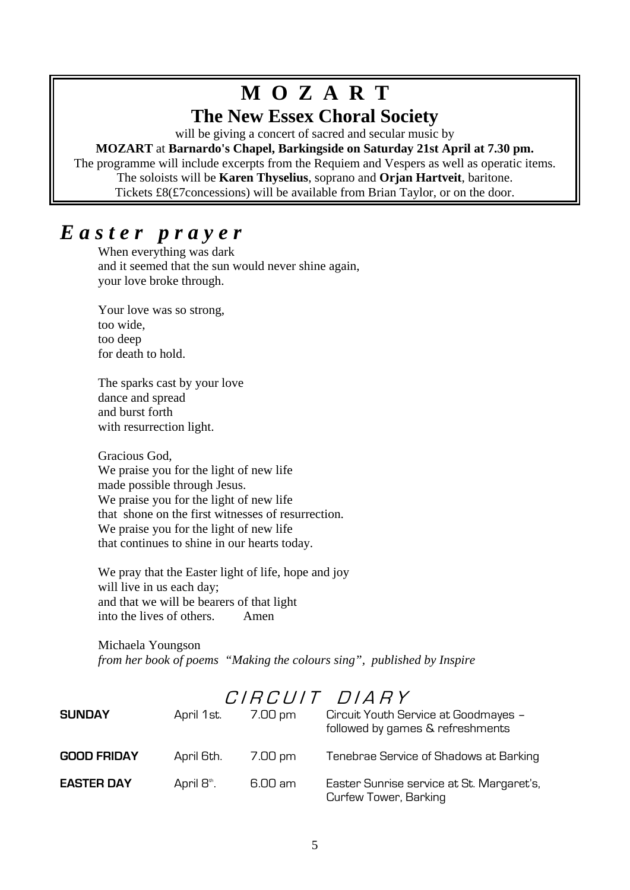# **M O Z A R T**

# **The New Essex Choral Society**

will be giving a concert of sacred and secular music by

**MOZART** at **Barnardo's Chapel, Barkingside on Saturday 21st April at 7.30 pm.** The programme will include excerpts from the Requiem and Vespers as well as operatic items. The soloists will be **Karen Thyselius**, soprano and **Orjan Hartveit**, baritone. Tickets  $£8(E7$ concessions) will be available from Brian Taylor, or on the door.

# *E a s t e r p r a y e r*

 When everything was dark and it seemed that the sun would never shine again, your love broke through.

 Your love was so strong, too wide, too deep for death to hold.

 The sparks cast by your love dance and spread and burst forth with resurrection light.

 Gracious God, We praise you for the light of new life made possible through Jesus. We praise you for the light of new life that shone on the first witnesses of resurrection. We praise you for the light of new life that continues to shine in our hearts today.

 We pray that the Easter light of life, hope and joy will live in us each day; and that we will be bearers of that light into the lives of others. Amen

 Michaela Youngson *from her book of poems "Making the colours sing", published by Inspire* 

# $C \, I R C \, I I I T$   $D \, I A R Y$

| <b>SUNDAY</b>      | April 1st. | 7.00 pm | Circuit Youth Service at Goodmayes -<br>followed by games & refreshments |
|--------------------|------------|---------|--------------------------------------------------------------------------|
| <b>GOOD FRIDAY</b> | April 6th. | 7.00 pm | Tenebrae Service of Shadows at Barking                                   |
| <b>EASTER DAY</b>  | April 8th. | 6.00 am | Easter Sunrise service at St. Margaret's,<br>Curfew Tower, Barking       |